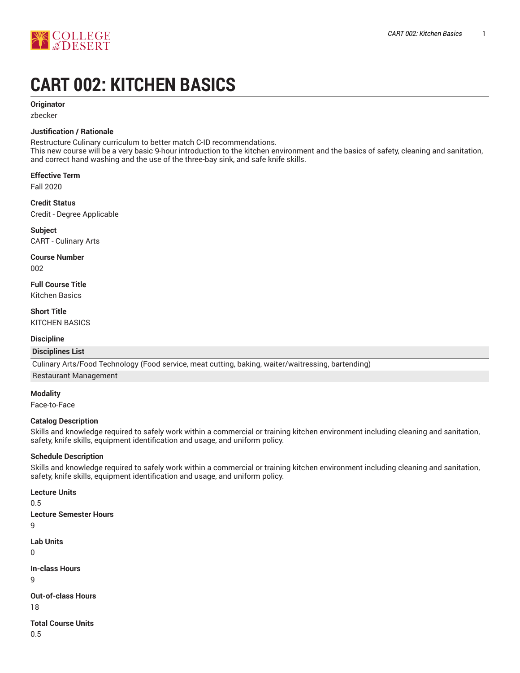

# **CART 002: KITCHEN BASICS**

#### **Originator**

zbecker

#### **Justification / Rationale**

Restructure Culinary curriculum to better match C-ID recommendations.

This new course will be a very basic 9-hour introduction to the kitchen environment and the basics of safety, cleaning and sanitation, and correct hand washing and the use of the three-bay sink, and safe knife skills.

**Effective Term**

Fall 2020

**Credit Status** Credit - Degree Applicable

**Subject** CART - Culinary Arts

**Course Number**

002

**Full Course Title** Kitchen Basics

**Short Title** KITCHEN BASICS

#### **Discipline**

#### **Disciplines List**

Culinary Arts/Food Technology (Food service, meat cutting, baking, waiter/waitressing, bartending)

#### Restaurant Management

**Modality**

Face-to-Face

#### **Catalog Description**

Skills and knowledge required to safely work within a commercial or training kitchen environment including cleaning and sanitation, safety, knife skills, equipment identification and usage, and uniform policy.

#### **Schedule Description**

Skills and knowledge required to safely work within a commercial or training kitchen environment including cleaning and sanitation, safety, knife skills, equipment identification and usage, and uniform policy.

**Lecture Units**

```
0.5
Lecture Semester Hours
Lab Units
In-class Hours
Out-of-class Hours
18
Total Course Units
```
0.5

9

0

9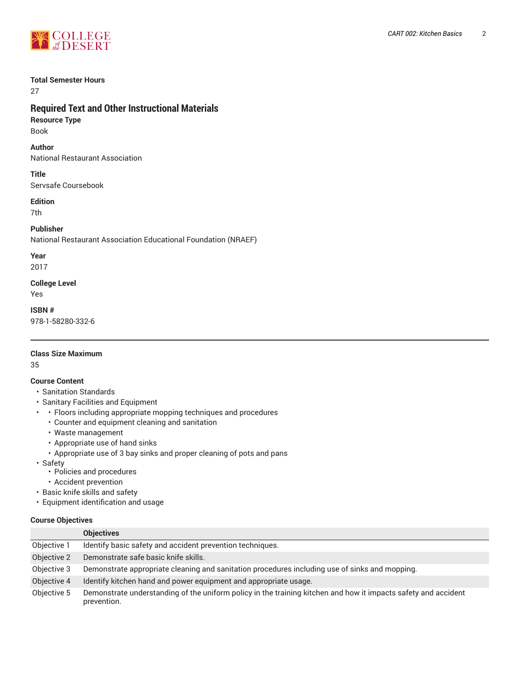

#### **Total Semester Hours**

27

# **Required Text and Other Instructional Materials**

**Resource Type** Book

**Author**

National Restaurant Association

**Title**

Servsafe Coursebook

#### **Edition**

7th

## **Publisher**

National Restaurant Association Educational Foundation (NRAEF)

**Year**

2017

**College Level** Yes

**ISBN #** 978-1-58280-332-6

# **Class Size Maximum**

35

#### **Course Content**

- Sanitation Standards
- Sanitary Facilities and Equipment
- • Floors including appropriate mopping techniques and procedures
	- Counter and equipment cleaning and sanitation
	- Waste management
	- Appropriate use of hand sinks
	- Appropriate use of 3 bay sinks and proper cleaning of pots and pans
- Safety
	- Policies and procedures
	- Accident prevention
- Basic knife skills and safety
- Equipment identification and usage

#### **Course Objectives**

|             | <b>Objectives</b>                                                                                                             |  |  |
|-------------|-------------------------------------------------------------------------------------------------------------------------------|--|--|
| Objective 1 | Identify basic safety and accident prevention techniques.                                                                     |  |  |
| Objective 2 | Demonstrate safe basic knife skills.                                                                                          |  |  |
| Objective 3 | Demonstrate appropriate cleaning and sanitation procedures including use of sinks and mopping.                                |  |  |
| Objective 4 | Identify kitchen hand and power equipment and appropriate usage.                                                              |  |  |
| Objective 5 | Demonstrate understanding of the uniform policy in the training kitchen and how it impacts safety and accident<br>prevention. |  |  |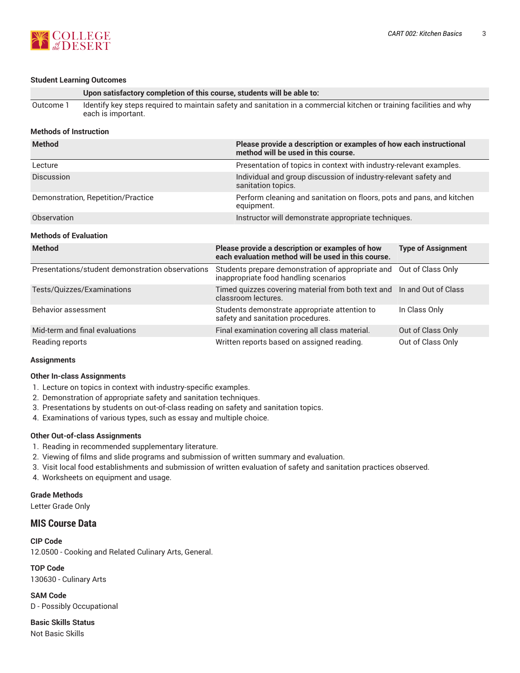

## **Student Learning Outcomes**

| Student Learning Outcomes                        |                                                                                                                                            |                                                                                                           |                           |  |
|--------------------------------------------------|--------------------------------------------------------------------------------------------------------------------------------------------|-----------------------------------------------------------------------------------------------------------|---------------------------|--|
|                                                  | Upon satisfactory completion of this course, students will be able to:                                                                     |                                                                                                           |                           |  |
| Outcome 1                                        | Identify key steps required to maintain safety and sanitation in a commercial kitchen or training facilities and why<br>each is important. |                                                                                                           |                           |  |
| <b>Methods of Instruction</b>                    |                                                                                                                                            |                                                                                                           |                           |  |
| <b>Method</b>                                    |                                                                                                                                            | Please provide a description or examples of how each instructional<br>method will be used in this course. |                           |  |
| Lecture                                          |                                                                                                                                            | Presentation of topics in context with industry-relevant examples.                                        |                           |  |
| <b>Discussion</b>                                |                                                                                                                                            | Individual and group discussion of industry-relevant safety and<br>sanitation topics.                     |                           |  |
| Demonstration, Repetition/Practice               |                                                                                                                                            | Perform cleaning and sanitation on floors, pots and pans, and kitchen<br>equipment.                       |                           |  |
| Observation                                      |                                                                                                                                            | Instructor will demonstrate appropriate techniques.                                                       |                           |  |
| <b>Methods of Evaluation</b>                     |                                                                                                                                            |                                                                                                           |                           |  |
| <b>Method</b>                                    |                                                                                                                                            | Please provide a description or examples of how<br>each evaluation method will be used in this course.    | <b>Type of Assignment</b> |  |
| Presentations/student demonstration observations |                                                                                                                                            | Students prepare demonstration of appropriate and<br>inappropriate food handling scenarios                | Out of Class Only         |  |
| Tests/Quizzes/Examinations                       |                                                                                                                                            | Timed quizzes covering material from both text and<br>classroom lectures.                                 | In and Out of Class       |  |
| Behavior assessment                              |                                                                                                                                            | Students demonstrate appropriate attention to<br>safety and sanitation procedures.                        | In Class Only             |  |
| Mid-term and final evaluations                   |                                                                                                                                            | Final examination covering all class material.                                                            | Out of Class Only         |  |
| Reading reports                                  |                                                                                                                                            | Written reports based on assigned reading.                                                                | Out of Class Only         |  |

#### **Assignments**

#### **Other In-class Assignments**

- 1. Lecture on topics in context with industry-specific examples.
- 2. Demonstration of appropriate safety and sanitation techniques.
- 3. Presentations by students on out-of-class reading on safety and sanitation topics.
- 4. Examinations of various types, such as essay and multiple choice.

#### **Other Out-of-class Assignments**

- 1. Reading in recommended supplementary literature.
- 2. Viewing of films and slide programs and submission of written summary and evaluation.
- 3. Visit local food establishments and submission of written evaluation of safety and sanitation practices observed.
- 4. Worksheets on equipment and usage.

#### **Grade Methods**

Letter Grade Only

## **MIS Course Data**

**CIP Code** 12.0500 - Cooking and Related Culinary Arts, General.

**TOP Code** 130630 - Culinary Arts

**SAM Code** D - Possibly Occupational

**Basic Skills Status** Not Basic Skills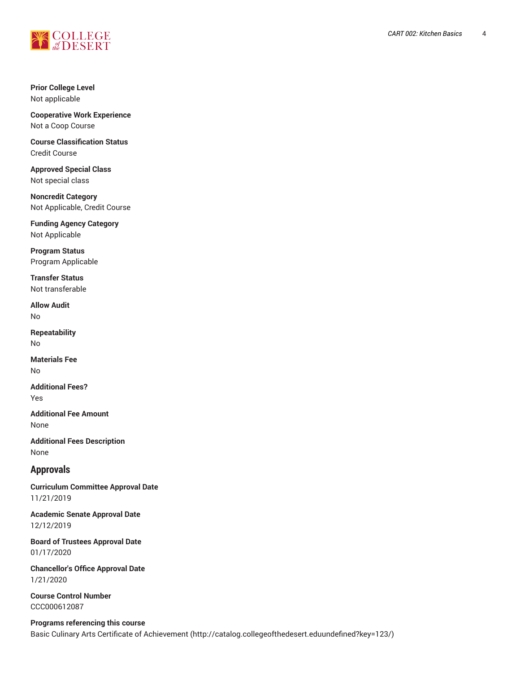

#### **Prior College Level** Not applicable

**Cooperative Work Experience** Not a Coop Course

#### **Course Classification Status** Credit Course

**Approved Special Class** Not special class

**Noncredit Category** Not Applicable, Credit Course

**Funding Agency Category** Not Applicable

**Program Status** Program Applicable

**Transfer Status** Not transferable

**Allow Audit** No

**Repeatability** No

**Materials Fee** No

**Additional Fees?** Yes

**Additional Fee Amount** None

**Additional Fees Description** None

# **Approvals**

**Curriculum Committee Approval Date** 11/21/2019

**Academic Senate Approval Date** 12/12/2019

**Board of Trustees Approval Date** 01/17/2020

**Chancellor's Office Approval Date** 1/21/2020

**Course Control Number** CCC000612087

**Programs referencing this course** Basic Culinary Arts Certificate of [Achievement \(http://catalog.collegeofthedesert.eduundefined?key=123/](http://catalog.collegeofthedesert.eduundefined?key=123/))